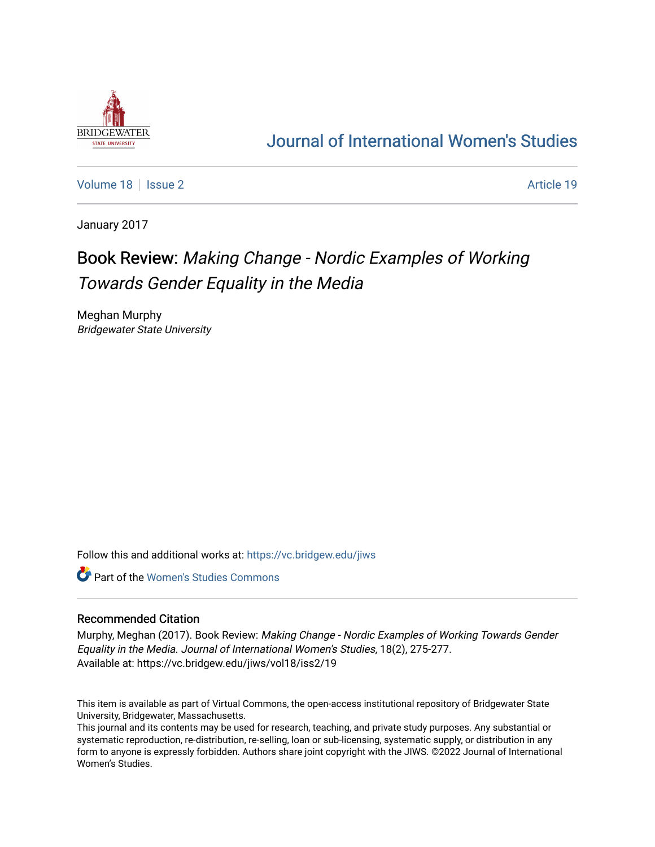

## [Journal of International Women's Studies](https://vc.bridgew.edu/jiws)

[Volume 18](https://vc.bridgew.edu/jiws/vol18) | [Issue 2](https://vc.bridgew.edu/jiws/vol18/iss2) Article 19

January 2017

# Book Review: Making Change - Nordic Examples of Working Towards Gender Equality in the Media

Meghan Murphy Bridgewater State University

Follow this and additional works at: [https://vc.bridgew.edu/jiws](https://vc.bridgew.edu/jiws?utm_source=vc.bridgew.edu%2Fjiws%2Fvol18%2Fiss2%2F19&utm_medium=PDF&utm_campaign=PDFCoverPages)

**C** Part of the Women's Studies Commons

#### Recommended Citation

Murphy, Meghan (2017). Book Review: Making Change - Nordic Examples of Working Towards Gender Equality in the Media. Journal of International Women's Studies, 18(2), 275-277. Available at: https://vc.bridgew.edu/jiws/vol18/iss2/19

This item is available as part of Virtual Commons, the open-access institutional repository of Bridgewater State University, Bridgewater, Massachusetts.

This journal and its contents may be used for research, teaching, and private study purposes. Any substantial or systematic reproduction, re-distribution, re-selling, loan or sub-licensing, systematic supply, or distribution in any form to anyone is expressly forbidden. Authors share joint copyright with the JIWS. ©2022 Journal of International Women's Studies.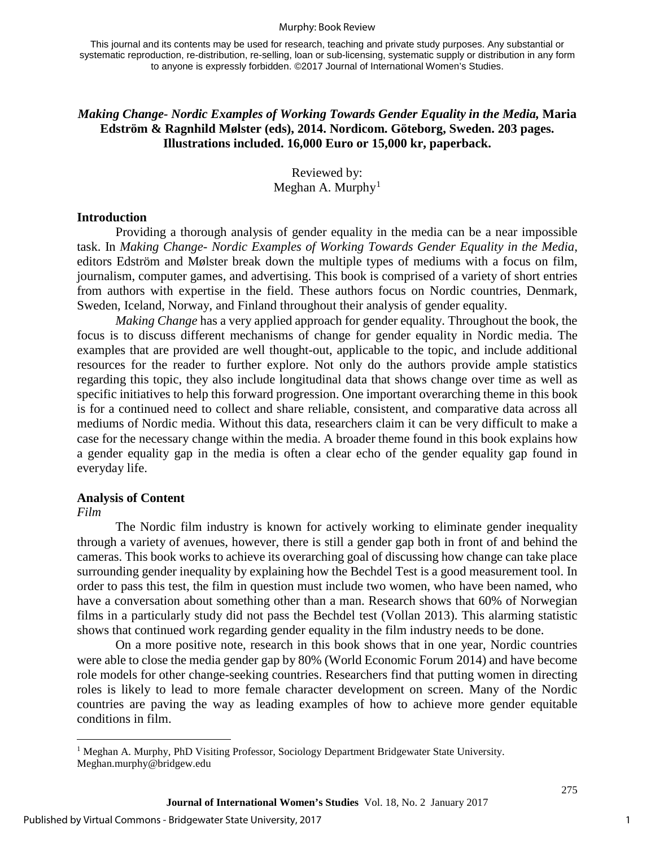#### Murphy: Book Review

This journal and its contents may be used for research, teaching and private study purposes. Any substantial or systematic reproduction, re-distribution, re-selling, loan or sub-licensing, systematic supply or distribution in any form to anyone is expressly forbidden. ©2017 Journal of International Women's Studies.

#### *Making Change- Nordic Examples of Working Towards Gender Equality in the Media,* **Maria Edström & Ragnhild Mølster (eds), 2014. Nordicom. Göteborg, Sweden. 203 pages. Illustrations included. 16,000 Euro or 15,000 kr, paperback.**

Reviewed by: Meghan A. Murphy<sup>[1](#page-1-0)</sup>

#### **Introduction**

Providing a thorough analysis of gender equality in the media can be a near impossible task. In *Making Change- Nordic Examples of Working Towards Gender Equality in the Media*, editors Edström and Mølster break down the multiple types of mediums with a focus on film, journalism, computer games, and advertising. This book is comprised of a variety of short entries from authors with expertise in the field. These authors focus on Nordic countries, Denmark, Sweden, Iceland, Norway, and Finland throughout their analysis of gender equality.

*Making Change* has a very applied approach for gender equality. Throughout the book, the focus is to discuss different mechanisms of change for gender equality in Nordic media. The examples that are provided are well thought-out, applicable to the topic, and include additional resources for the reader to further explore. Not only do the authors provide ample statistics regarding this topic, they also include longitudinal data that shows change over time as well as specific initiatives to help this forward progression. One important overarching theme in this book is for a continued need to collect and share reliable, consistent, and comparative data across all mediums of Nordic media. Without this data, researchers claim it can be very difficult to make a case for the necessary change within the media. A broader theme found in this book explains how a gender equality gap in the media is often a clear echo of the gender equality gap found in everyday life.

#### **Analysis of Content**

*Film*

The Nordic film industry is known for actively working to eliminate gender inequality through a variety of avenues, however, there is still a gender gap both in front of and behind the cameras. This book works to achieve its overarching goal of discussing how change can take place surrounding gender inequality by explaining how the Bechdel Test is a good measurement tool. In order to pass this test, the film in question must include two women, who have been named, who have a conversation about something other than a man. Research shows that 60% of Norwegian films in a particularly study did not pass the Bechdel test (Vollan 2013). This alarming statistic shows that continued work regarding gender equality in the film industry needs to be done.

On a more positive note, research in this book shows that in one year, Nordic countries were able to close the media gender gap by 80% (World Economic Forum 2014) and have become role models for other change-seeking countries. Researchers find that putting women in directing roles is likely to lead to more female character development on screen. Many of the Nordic countries are paving the way as leading examples of how to achieve more gender equitable conditions in film.

1

<span id="page-1-0"></span> $\overline{1}$ <sup>1</sup> Meghan A. Murphy, PhD Visiting Professor, Sociology Department Bridgewater State University. Meghan.murphy@bridgew.edu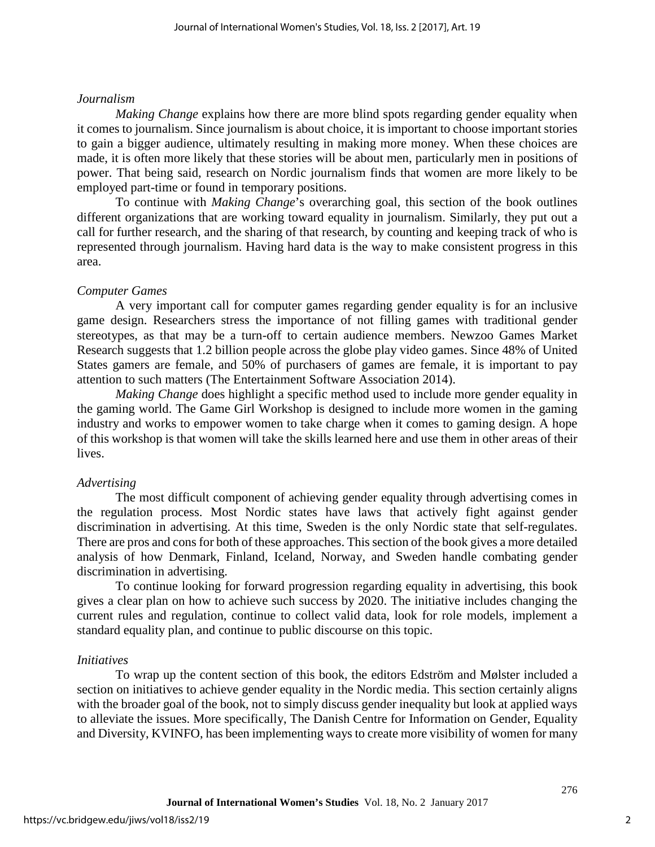#### *Journalism*

*Making Change* explains how there are more blind spots regarding gender equality when it comes to journalism. Since journalism is about choice, it is important to choose important stories to gain a bigger audience, ultimately resulting in making more money. When these choices are made, it is often more likely that these stories will be about men, particularly men in positions of power. That being said, research on Nordic journalism finds that women are more likely to be employed part-time or found in temporary positions.

To continue with *Making Change*'s overarching goal, this section of the book outlines different organizations that are working toward equality in journalism. Similarly, they put out a call for further research, and the sharing of that research, by counting and keeping track of who is represented through journalism. Having hard data is the way to make consistent progress in this area.

### *Computer Games*

A very important call for computer games regarding gender equality is for an inclusive game design. Researchers stress the importance of not filling games with traditional gender stereotypes, as that may be a turn-off to certain audience members. Newzoo Games Market Research suggests that 1.2 billion people across the globe play video games. Since 48% of United States gamers are female, and 50% of purchasers of games are female, it is important to pay attention to such matters (The Entertainment Software Association 2014).

*Making Change* does highlight a specific method used to include more gender equality in the gaming world. The Game Girl Workshop is designed to include more women in the gaming industry and works to empower women to take charge when it comes to gaming design. A hope of this workshop is that women will take the skills learned here and use them in other areas of their lives.

### *Advertising*

The most difficult component of achieving gender equality through advertising comes in the regulation process. Most Nordic states have laws that actively fight against gender discrimination in advertising. At this time, Sweden is the only Nordic state that self-regulates. There are pros and cons for both of these approaches. This section of the book gives a more detailed analysis of how Denmark, Finland, Iceland, Norway, and Sweden handle combating gender discrimination in advertising.

To continue looking for forward progression regarding equality in advertising, this book gives a clear plan on how to achieve such success by 2020. The initiative includes changing the current rules and regulation, continue to collect valid data, look for role models, implement a standard equality plan, and continue to public discourse on this topic.

### *Initiatives*

To wrap up the content section of this book, the editors Edström and Mølster included a section on initiatives to achieve gender equality in the Nordic media. This section certainly aligns with the broader goal of the book, not to simply discuss gender inequality but look at applied ways to alleviate the issues. More specifically, The Danish Centre for Information on Gender, Equality and Diversity, KVINFO, has been implementing ways to create more visibility of women for many

276